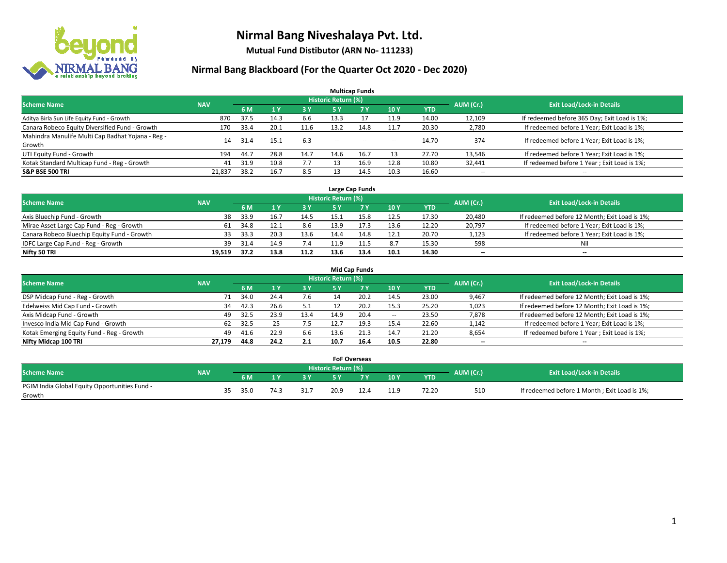

**Mutual Fund Distibutor (ARN No- 111233)**

| <b>Multicap Funds</b>                             |            |       |      |      |                            |       |                          |            |                          |                                              |  |  |  |
|---------------------------------------------------|------------|-------|------|------|----------------------------|-------|--------------------------|------------|--------------------------|----------------------------------------------|--|--|--|
| <b>Scheme Name</b>                                | <b>NAV</b> |       |      |      | <b>Historic Return (%)</b> |       |                          |            | AUM (Cr.)                | <b>Exit Load/Lock-in Details</b>             |  |  |  |
|                                                   |            | 6 M   | 1Y   | 3 Y  | 5 Y                        | 7 Y   | 10Y                      | <b>YTD</b> |                          |                                              |  |  |  |
| Aditya Birla Sun Life Equity Fund - Growth        | 870        | 37.5  | 14.3 | 6.6  | 13.3                       |       | 11.9                     | 14.00      | 12,109                   | If redeemed before 365 Day; Exit Load is 1%; |  |  |  |
| Canara Robeco Equity Diversified Fund - Growth    | 170        | 33.4  | 20.1 | 11.6 | 13.2                       | 14.8  | 11.7                     | 20.30      | 2,780                    | If redeemed before 1 Year; Exit Load is 1%;  |  |  |  |
| Mahindra Manulife Multi Cap Badhat Yojana - Reg - | 14         | -31.4 | 15.1 | 6.3  |                            |       |                          | 14.70      | 374                      | If redeemed before 1 Year; Exit Load is 1%;  |  |  |  |
| Growth                                            |            |       |      |      | $\overline{\phantom{a}}$   | $- -$ | $\overline{\phantom{a}}$ |            |                          |                                              |  |  |  |
| UTI Equity Fund - Growth                          | 194        | 44.7  | 28.8 | 14.7 | 14.6                       | 16.7  | 13                       | 27.70      | 13,546                   | If redeemed before 1 Year; Exit Load is 1%;  |  |  |  |
| Kotak Standard Multicap Fund - Reg - Growth       | 41         | 31.9  | 10.8 | 7.7  |                            | 16.9  | 12.8                     | 10.80      | 32,441                   | If redeemed before 1 Year; Exit Load is 1%;  |  |  |  |
| <b>S&amp;P BSE 500 TRI</b>                        | 21,837     | 38.2  | 16.7 | 8.5  |                            | 14.5  | 10.3                     | 16.60      | $\overline{\phantom{a}}$ | $- -$                                        |  |  |  |

|                                             |            |      |      |      |                            | Large Cap Funds |      |            |           |                                               |
|---------------------------------------------|------------|------|------|------|----------------------------|-----------------|------|------------|-----------|-----------------------------------------------|
| <b>Scheme Name</b>                          | <b>NAV</b> |      |      |      | <b>Historic Return (%)</b> |                 |      |            | AUM (Cr.) | <b>Exit Load/Lock-in Details</b>              |
|                                             |            | 6 M  |      | 3Y   |                            | <b>7Y</b>       | 10Y  | <b>YTD</b> |           |                                               |
| Axis Bluechip Fund - Growth                 | 38         | 33.9 | 16.7 | 14.5 |                            |                 | 12.5 | 17.30      | 20,480    | If redeemed before 12 Month; Exit Load is 1%; |
| Mirae Asset Large Cap Fund - Reg - Growth   | 61         | 34.8 | 12.1 | 8.6  | 13.9                       | 17.3            | 13.6 | 12.20      | 20,797    | If redeemed before 1 Year; Exit Load is 1%;   |
| Canara Robeco Bluechip Equity Fund - Growth | 33         | 33.3 | 20.3 | 13.6 | 14.4                       |                 | 12.1 | 20.70      | 1,123     | If redeemed before 1 Year; Exit Load is 1%;   |
| IDFC Large Cap Fund - Reg - Growth          | 39         | 31.4 |      | 7.4  |                            |                 | 8.7  | 15.30      | 598       | Nil                                           |
| Nifty 50 TRI                                | 19.519     | 37.2 | 13.8 | 11.2 | 13.6                       | 13.4            | 10.1 | 14.30      | $- -$     | $- -$                                         |

| <b>Mid Cap Funds</b>                      |            |           |                                  |           |            |      |       |            |                          |                                               |  |  |  |
|-------------------------------------------|------------|-----------|----------------------------------|-----------|------------|------|-------|------------|--------------------------|-----------------------------------------------|--|--|--|
| <b>Scheme Name</b>                        | <b>NAV</b> | AUM (Cr.) | <b>Exit Load/Lock-in Details</b> |           |            |      |       |            |                          |                                               |  |  |  |
|                                           |            | 6 M       |                                  | <b>3Y</b> | <b>5 Y</b> |      | 10Y   | <b>YTD</b> |                          |                                               |  |  |  |
| DSP Midcap Fund - Reg - Growth            | 71         | 34.0      | 24.4                             | 7.6       | 14         | 20.2 | 14.5  | 23.00      | 9,467                    | If redeemed before 12 Month; Exit Load is 1%; |  |  |  |
| Edelweiss Mid Cap Fund - Growth           | 34         | 42.3      | 26.6                             | 5.1       |            | 20.2 | 15.3  | 25.20      | 1,023                    | If redeemed before 12 Month; Exit Load is 1%; |  |  |  |
| Axis Midcap Fund - Growth                 | 49         | 32.5      | 23.9                             | 13.4      | 14.9       | 20.4 | $\!-$ | 23.50      | 7,878                    | If redeemed before 12 Month; Exit Load is 1%; |  |  |  |
| Invesco India Mid Cap Fund - Growth       | 62         | 32.5      |                                  | 7.5       |            | 19.3 | 15.4  | 22.60      | 1,142                    | If redeemed before 1 Year; Exit Load is 1%;   |  |  |  |
| Kotak Emerging Equity Fund - Reg - Growth | 49         | 41.6      | 22.9                             | 6.6       | 13.6       | 21.3 | 14.7  | 21.20      | 8,654                    | If redeemed before 1 Year; Exit Load is 1%;   |  |  |  |
| Nifty Midcap 100 TRI                      | 27.179     | 44.8      | 24.2                             | 2.1       | 10.7       | 16.4 | 10.5  | 22.80      | $\overline{\phantom{m}}$ | $\overline{\phantom{a}}$                      |  |  |  |

|                                                         |            |     |      |     |      | <b>FoF Overseas</b>        |     |                 |            |           |                                              |
|---------------------------------------------------------|------------|-----|------|-----|------|----------------------------|-----|-----------------|------------|-----------|----------------------------------------------|
| Scheme Name                                             | <b>NAV</b> |     |      |     |      | <b>Historic Return (%)</b> |     |                 |            | AUM (Cr.) | <b>Exit Load/Lock-in Details</b>             |
|                                                         |            |     | 6 M  |     | o v  |                            | 7 V | 10Y             | <b>YTD</b> |           |                                              |
| PGIM India Global Equity Opportunities Fund -<br>Growth |            | 35. | 35.0 | 74. | 31.7 | 20.9                       |     | 11 Q<br><b></b> | 72.20      | 510       | If redeemed before 1 Month; Exit Load is 1%; |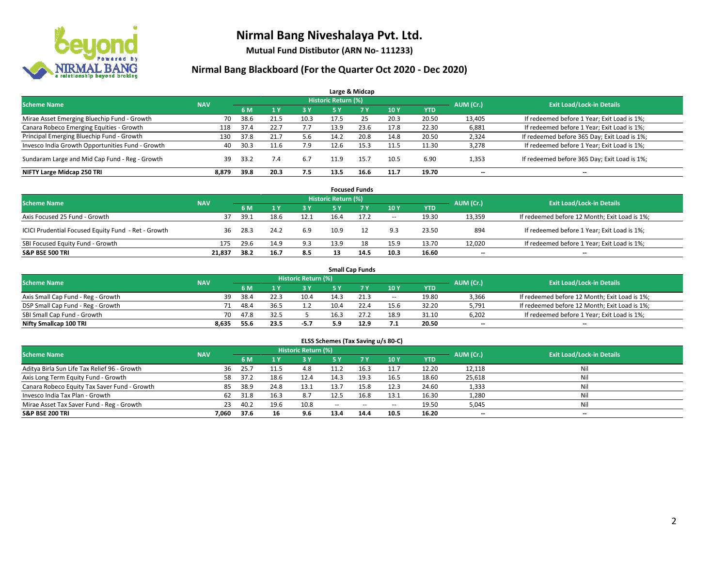

**Mutual Fund Distibutor (ARN No- 111233)**

|                                                  |            |      |                |      |                            | Large & Midcap |      |            |           |                                              |
|--------------------------------------------------|------------|------|----------------|------|----------------------------|----------------|------|------------|-----------|----------------------------------------------|
| <b>Scheme Name</b>                               | <b>NAV</b> |      |                |      | <b>Historic Return (%)</b> |                |      |            | AUM (Cr.) | <b>Exit Load/Lock-in Details</b>             |
|                                                  |            | 6 M  | 1 <sub>Y</sub> | 3 Y  | 5 Y                        | 7Y             | 10Y  | <b>YTD</b> |           |                                              |
| Mirae Asset Emerging Bluechip Fund - Growth      | 70         | 38.6 | 21.5           | 10.3 | 17.5                       | 25             | 20.3 | 20.50      | 13,405    | If redeemed before 1 Year; Exit Load is 1%;  |
| Canara Robeco Emerging Equities - Growth         | 118        | 37.4 | 22.7           | 7.7  | 13.9                       | 23.6           | 17.8 | 22.30      | 6,881     | If redeemed before 1 Year; Exit Load is 1%;  |
| Principal Emerging Bluechip Fund - Growth        | 130        | 37.8 | 21.7           | 5.6  | 14.2                       | 20.8           | 14.8 | 20.50      | 2,324     | If redeemed before 365 Day; Exit Load is 1%; |
| Invesco India Growth Opportunities Fund - Growth | 40         | 30.3 |                | 7.9  | 12.6                       | 15.3           | 11.5 | 11.30      | 3,278     | If redeemed before 1 Year; Exit Load is 1%;  |
| Sundaram Large and Mid Cap Fund - Reg - Growth   | 39         | 33.2 | 7.4            | 6.7  | 11.9                       | 15.7           | 10.5 | 6.90       | 1,353     | If redeemed before 365 Day; Exit Load is 1%; |
| NIFTY Large Midcap 250 TRI                       | 8,879      | 39.8 | 20.3           | 7.5  | 13.5                       | 16.6           | 11.7 | 19.70      | $- -$     | $\overline{\phantom{a}}$                     |

|                                                     |            |                                  |      |           |      | <b>Focused Funds</b> |        |       |        |                                               |
|-----------------------------------------------------|------------|----------------------------------|------|-----------|------|----------------------|--------|-------|--------|-----------------------------------------------|
| <b>Scheme Name</b>                                  | AUM (Cr.)  | <b>Exit Load/Lock-in Details</b> |      |           |      |                      |        |       |        |                                               |
|                                                     | <b>NAV</b> | 6 M                              |      | <b>3Y</b> | 5 Y  | <b>7Y</b>            | 10Y    | YTD   |        |                                               |
| Axis Focused 25 Fund - Growth                       | 37         | 39.1                             | 18.6 | 12.1      | 16.4 | 17.2                 | $\sim$ | 19.30 | 13,359 | If redeemed before 12 Month; Exit Load is 1%; |
| ICICI Prudential Focused Equity Fund - Ret - Growth | 36         | 28.3                             | 24.2 | 6.9       | 10.9 |                      | 9.3    | 23.50 | 894    | If redeemed before 1 Year; Exit Load is 1%;   |
| SBI Focused Equity Fund - Growth                    | 175        | 29.6                             | 14.9 | 9.3       | 13.9 |                      | 15.9   | 13.70 | 12,020 | If redeemed before 1 Year; Exit Load is 1%;   |
| <b>S&amp;P BSE 500 TRI</b>                          | 21.837     | 38.2                             | 16.7 | 8.5       |      | 14.5                 | 10.3   | 16.60 | $- -$  | $\overline{\phantom{a}}$                      |

|                                    |            |      |      |                     |      | <b>Small Cap Funds</b> |                          |            |           |                                               |
|------------------------------------|------------|------|------|---------------------|------|------------------------|--------------------------|------------|-----------|-----------------------------------------------|
| <b>Scheme Name</b>                 | <b>NAV</b> |      |      | Historic Return (%) |      |                        |                          |            |           | <b>Exit Load/Lock-in Details</b>              |
|                                    |            | 6 M  |      | 3 Y                 | 5 Y  |                        | 10Y                      | <b>YTD</b> | AUM (Cr.) |                                               |
| Axis Small Cap Fund - Reg - Growth | 39         | 38.4 |      | 10.4                | 14.3 | 21.3                   | $\hspace{0.05cm} \cdots$ | 19.80      | 3,366     | If redeemed before 12 Month; Exit Load is 1%; |
| DSP Small Cap Fund - Reg - Growth  | 71         | 48.4 | 36.5 |                     | 10.4 | 22.4                   | 15.6                     | 32.20      | 5,791     | If redeemed before 12 Month; Exit Load is 1%; |
| SBI Small Cap Fund - Growth        | 70.        | 47.8 | 32.5 |                     | 16.3 |                        | 18.9                     | 31.10      | 6,202     | If redeemed before 1 Year; Exit Load is 1%;   |
| Nifty Smallcap 100 TRI             | 8.635      | 55.6 | 23.5 | $-5.7$              | 5.9  | 12.9                   | 7.1                      | 20.50      | $- -$     | $\overline{\phantom{a}}$                      |

| ELSS Schemes (Tax Saving u/s 80-C)                                                                              |       |      |      |      |               |        |                          |            |        |                          |  |  |  |  |
|-----------------------------------------------------------------------------------------------------------------|-------|------|------|------|---------------|--------|--------------------------|------------|--------|--------------------------|--|--|--|--|
| <b>Historic Return (%)</b><br><b>Exit Load/Lock-in Details</b><br>AUM (Cr.)<br><b>Scheme Name</b><br><b>NAV</b> |       |      |      |      |               |        |                          |            |        |                          |  |  |  |  |
|                                                                                                                 |       | 6 M  | 71 Y | 3 Y  | <b>5Y</b>     | 7V     | <b>10 Y</b>              | <b>YTD</b> |        |                          |  |  |  |  |
| Aditya Birla Sun Life Tax Relief 96 - Growth                                                                    | 36    | 25.7 | 11.5 | 4.8  | 11.2          | 16.3   | 11.7                     | 12.20      | 12,118 | Nil                      |  |  |  |  |
| Axis Long Term Equity Fund - Growth                                                                             | 58    | 37.2 | 18.6 | 12.4 | 14.3          | 19.3   | 16.5                     | 18.60      | 25,618 | Nil                      |  |  |  |  |
| Canara Robeco Equity Tax Saver Fund - Growth                                                                    | 85    | 38.9 | 24.8 | 13.1 | 13.7          | 15.8   | 12.3                     | 24.60      | 1,333  | Nil                      |  |  |  |  |
| Invesco India Tax Plan - Growth                                                                                 | 62    | 31.8 | 16.3 | 8.7  | 12.5          | 16.8   | 13.1                     | 16.30      | 1,280  | Nil                      |  |  |  |  |
| Mirae Asset Tax Saver Fund - Reg - Growth                                                                       | 23    | 40.2 | 19.6 | 10.8 | $\sim$ $\sim$ | $\sim$ | $\overline{\phantom{a}}$ | 19.50      | 5,045  | Nil                      |  |  |  |  |
| S&P BSE 200 TRI                                                                                                 | 7,060 | 37.6 | 16   | 9.6  | 13.4          | 14.4   | 10.5                     | 16.20      | $- -$  | $\overline{\phantom{a}}$ |  |  |  |  |
|                                                                                                                 |       |      |      |      |               |        |                          |            |        |                          |  |  |  |  |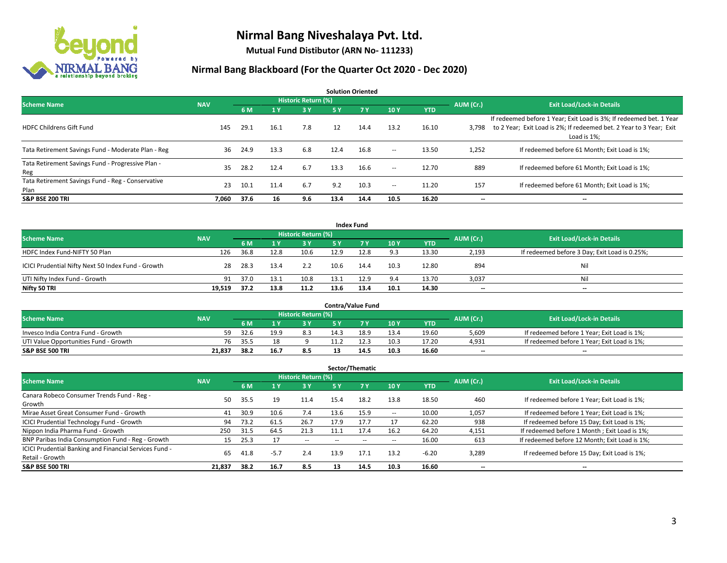

**Mutual Fund Distibutor (ARN No- 111233)**

| <b>Solution Oriented</b>                                  |            |      |      |                            |           |           |        |            |           |                                                                                                                                                           |  |  |  |
|-----------------------------------------------------------|------------|------|------|----------------------------|-----------|-----------|--------|------------|-----------|-----------------------------------------------------------------------------------------------------------------------------------------------------------|--|--|--|
| <b>Scheme Name</b>                                        | <b>NAV</b> |      |      | <b>Historic Return (%)</b> |           |           |        |            | AUM (Cr.) | <b>Exit Load/Lock-in Details</b>                                                                                                                          |  |  |  |
|                                                           |            | 6 M  | 1Y   | 3 Y                        | <b>5Y</b> | <b>7Y</b> | 10Y    | <b>YTD</b> |           |                                                                                                                                                           |  |  |  |
| <b>HDFC Childrens Gift Fund</b>                           | 145        | 29.1 | 16.1 | 7.8                        | 12        | 14.4      | 13.2   | 16.10      | 3.798     | If redeemed before 1 Year; Exit Load is 3%; If redeemed bet. 1 Year<br>to 2 Year; Exit Load is 2%; If redeemed bet. 2 Year to 3 Year; Exit<br>Load is 1%; |  |  |  |
| Tata Retirement Savings Fund - Moderate Plan - Reg        | 36         | 24.9 | 13.3 | 6.8                        | 12.4      | 16.8      | $ -$   | 13.50      | 1,252     | If redeemed before 61 Month; Exit Load is 1%;                                                                                                             |  |  |  |
| Tata Retirement Savings Fund - Progressive Plan -<br>Reg  | 35         | 28.2 | 12.4 | 6.7                        | 13.3      | 16.6      | $ -$   | 12.70      | 889       | If redeemed before 61 Month; Exit Load is 1%;                                                                                                             |  |  |  |
| Tata Retirement Savings Fund - Reg - Conservative<br>Plan | 23         | 10.1 | 11.4 | 6.7                        | 9.2       | 10.3      | $\sim$ | 11.20      | 157       | If redeemed before 61 Month: Exit Load is 1%:                                                                                                             |  |  |  |
| <b>S&amp;P BSE 200 TRI</b>                                | 7.060      | 37.6 | 16   | 9.6                        | 13.4      | 14.4      | 10.5   | 16.20      | --        | --                                                                                                                                                        |  |  |  |

|                                                    |            |      |      |                            |      | <b>Index Fund</b> |      |            |           |                                               |
|----------------------------------------------------|------------|------|------|----------------------------|------|-------------------|------|------------|-----------|-----------------------------------------------|
| <b>Scheme Name</b>                                 | <b>NAV</b> |      |      | <b>Historic Return (%)</b> |      |                   |      |            | AUM (Cr.) | <b>Exit Load/Lock-in Details</b>              |
|                                                    |            | 6 M  |      | 3 Y                        | 5 Y  | <b>77 Y</b>       | 10Y  | <b>YTD</b> |           |                                               |
| HDFC Index Fund-NIFTY 50 Plan                      | 126        | 36.8 | 12.8 | 10.6                       | 12.9 | 12.8              | 9.3  | 13.30      | 2,193     | If redeemed before 3 Day; Exit Load is 0.25%; |
| ICICI Prudential Nifty Next 50 Index Fund - Growth | 28         | 28.3 | 13.4 | 2.2                        | 10.6 | 14.4              | 10.3 | 12.80      | 894       | Nil                                           |
| UTI Nifty Index Fund - Growth                      | 91         | 37.0 | 13.1 | 10.8                       | 13.1 | 12.9              | 9.4  | 13.70      | 3,037     | Nil                                           |
| Nifty 50 TRI                                       | 19,519     | 37.2 | 13.8 | 11.2                       | 13.6 | 13.4              | 10.1 | 14.30      | $- -$     | $\overline{\phantom{a}}$                      |

|                                       |            |       |      |                            |      | <b>Contra/Value Fund</b> |      |       |                          |                                             |
|---------------------------------------|------------|-------|------|----------------------------|------|--------------------------|------|-------|--------------------------|---------------------------------------------|
| <b>Scheme Name</b>                    | <b>NAV</b> |       |      | <b>Historic Return (%)</b> |      |                          |      |       | AUM (Cr.)                | <b>Exit Load/Lock-in Details</b>            |
|                                       |            | 6 M   |      | 3 Y                        |      | 7 V                      | 10Y  | YTD   |                          |                                             |
| Invesco India Contra Fund - Growth    | 59         | 32.6  | 19.9 | 8.3                        | 14.3 | 18.9                     | 13.4 | 19.60 | 5,609                    | If redeemed before 1 Year; Exit Load is 1%; |
| UTI Value Opportunities Fund - Growth | 76         | .35.5 |      |                            |      |                          | 10.3 | 17.20 | 4,931                    | If redeemed before 1 Year; Exit Load is 1%; |
| <b>S&amp;P BSE 500 TRI</b>            | 21.837     | 38.2  | 16.7 | 8.5                        |      | 14.'                     | 10.3 | 16.60 | $\overline{\phantom{a}}$ | $- -$                                       |

| Sector/Thematic                                                           |            |      |        |                     |      |        |      |            |           |                                               |  |  |  |
|---------------------------------------------------------------------------|------------|------|--------|---------------------|------|--------|------|------------|-----------|-----------------------------------------------|--|--|--|
| <b>Scheme Name</b>                                                        | <b>NAV</b> |      |        | Historic Return (%) |      |        |      |            | AUM (Cr.) | <b>Exit Load/Lock-in Details</b>              |  |  |  |
|                                                                           |            | 6 M  | $A$ Y  | <b>3Y</b>           | 5 Y  | 7Y     | 10Y  | <b>YTD</b> |           |                                               |  |  |  |
| Canara Robeco Consumer Trends Fund - Reg -<br>Growth                      | 50         | 35.5 | 19     | 11.4                | 15.4 | 18.2   | 13.8 | 18.50      | 460       | If redeemed before 1 Year; Exit Load is 1%;   |  |  |  |
| Mirae Asset Great Consumer Fund - Growth                                  | 41         | 30.9 | 10.6   | 7.4                 | 13.6 | 15.9   | --   | 10.00      | 1,057     | If redeemed before 1 Year; Exit Load is 1%;   |  |  |  |
| ICICI Prudential Technology Fund - Growth                                 | 94         | 73.2 | 61.5   | 26.7                | 17.9 | 17.7   |      | 62.20      | 938       | If redeemed before 15 Day; Exit Load is 1%;   |  |  |  |
| Nippon India Pharma Fund - Growth                                         | 250        | 31.5 | 64.5   | 21.3                | 11.1 | 17.4   | 16.2 | 64.20      | 4,151     | If redeemed before 1 Month; Exit Load is 1%;  |  |  |  |
| BNP Paribas India Consumption Fund - Reg - Growth                         | 15         | 25.3 |        | $\sim$              | --   | $\sim$ | --   | 16.00      | 613       | If redeemed before 12 Month; Exit Load is 1%; |  |  |  |
| ICICI Prudential Banking and Financial Services Fund -<br>Retail - Growth | 65         | 41.8 | $-5.7$ | 2.4                 | 13.9 | 17.1   | 13.2 | $-6.20$    | 3,289     | If redeemed before 15 Day; Exit Load is 1%;   |  |  |  |
| <b>S&amp;P BSE 500 TRI</b>                                                | 21,837     | 38.2 | 16.7   | 8.5                 | 13   | 14.5   | 10.3 | 16.60      | --        | --                                            |  |  |  |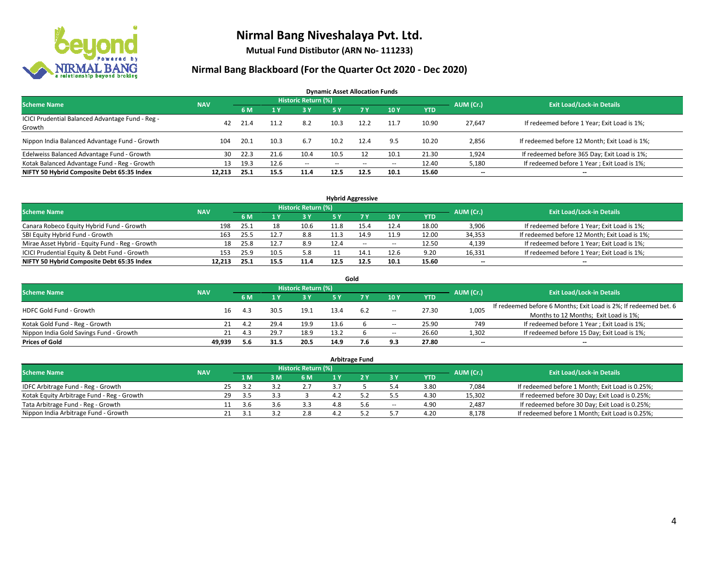

**Mutual Fund Distibutor (ARN No- 111233)**

| <b>Dynamic Asset Allocation Funds</b>                      |            |      |      |                            |      |           |                          |            |                          |                                               |  |  |  |
|------------------------------------------------------------|------------|------|------|----------------------------|------|-----------|--------------------------|------------|--------------------------|-----------------------------------------------|--|--|--|
| <b>Scheme Name</b>                                         | <b>NAV</b> |      |      | <b>Historic Return (%)</b> |      |           |                          |            | AUM (Cr.)                | <b>Exit Load/Lock-in Details</b>              |  |  |  |
|                                                            |            | 6 M  |      | 3 Y                        | 5 Y  | <b>7Y</b> | 10Y                      | <b>YTD</b> |                          |                                               |  |  |  |
| ICICI Prudential Balanced Advantage Fund - Reg -<br>Growth | 42         | 21.4 | 11.2 | 8.2                        | 10.3 | 12.2      | 11.7                     | 10.90      | 27,647                   | If redeemed before 1 Year; Exit Load is 1%;   |  |  |  |
| Nippon India Balanced Advantage Fund - Growth              | 104        | 20.1 | 10.3 | 6.7                        | 10.2 | 12.4      | 9.5                      | 10.20      | 2,856                    | If redeemed before 12 Month; Exit Load is 1%; |  |  |  |
| Edelweiss Balanced Advantage Fund - Growth                 | 30         | 22.3 | 21.6 | 10.4                       | 10.5 |           | 10.1                     | 21.30      | 1,924                    | If redeemed before 365 Day; Exit Load is 1%;  |  |  |  |
| Kotak Balanced Advantage Fund - Reg - Growth               | 13         | 19.3 | 12.6 | $\sim$ $-$                 | --   | $\sim$    | $\overline{\phantom{a}}$ | 12.40      | 5,180                    | If redeemed before 1 Year; Exit Load is 1%;   |  |  |  |
| NIFTY 50 Hybrid Composite Debt 65:35 Index                 | 12,213     | 25.1 | 15.5 | 11.4                       | 12.5 | 12.5      | 10.1                     | 15.60      | $\overline{\phantom{m}}$ | $- -$                                         |  |  |  |

|                                                 |            |      |      |      |           | <b>Hybrid Aggressive</b>         |        |            |        |                                               |
|-------------------------------------------------|------------|------|------|------|-----------|----------------------------------|--------|------------|--------|-----------------------------------------------|
| <b>Scheme Name</b>                              | <b>NAV</b> |      |      |      | AUM (Cr.) | <b>Exit Load/Lock-in Details</b> |        |            |        |                                               |
|                                                 |            | 6 M  |      | 3 Y  |           |                                  | 10Y    | <b>YTD</b> |        |                                               |
| Canara Robeco Equity Hybrid Fund - Growth       | 198        | 25.1 | 18   | 10.6 | 11.8      | 15.2                             | 12.4   | 18.00      | 3,906  | If redeemed before 1 Year; Exit Load is 1%;   |
| SBI Equity Hybrid Fund - Growth                 | 163        | 25.5 |      | 8.8  |           | 14.9                             | 11.9   | 12.00      | 34,353 | If redeemed before 12 Month; Exit Load is 1%; |
| Mirae Asset Hybrid - Equity Fund - Reg - Growth | 18         | 25.8 |      | 8.9  | 12.4      | $\sim$                           | $\sim$ | 12.50      | 4,139  | If redeemed before 1 Year; Exit Load is 1%;   |
| ICICI Prudential Equity & Debt Fund - Growth    | 153        | 25.9 | 10.5 | 5.8  |           |                                  | 12.6   | 9.20       | 16,331 | If redeemed before 1 Year; Exit Load is 1%;   |
| NIFTY 50 Hybrid Composite Debt 65:35 Index      | 12.213     | 25.1 | 15.5 | 11.4 |           |                                  | 10.1   | 15.60      | $- -$  | $\overline{\phantom{a}}$                      |

|                                         |            |     |      |                     |            | Gold |       |            |           |                                                                  |
|-----------------------------------------|------------|-----|------|---------------------|------------|------|-------|------------|-----------|------------------------------------------------------------------|
| <b>Scheme Name</b>                      | <b>NAV</b> |     |      | Historic Return (%) |            |      |       |            | AUM (Cr.) | <b>Exit Load/Lock-in Details</b>                                 |
|                                         |            | 6 M |      | <b>3 Y</b>          | <b>5 Y</b> |      | 10Y   | <b>YTD</b> |           |                                                                  |
| <b>HDFC Gold Fund - Growth</b>          | 16         | 4.3 | 30.5 | 19.1                | 13.4       | 6.2  | $\!-$ | 27.30      | 1,005     | If redeemed before 6 Months; Exit Load is 2%; If redeemed bet. 6 |
|                                         |            |     |      |                     |            |      |       |            |           | Months to 12 Months; Exit Load is 1%;                            |
| Kotak Gold Fund - Reg - Growth          |            | 4.2 | 29.4 | 19.9                | 13.6       |      | -     | 25.90      | 749       | If redeemed before 1 Year; Exit Load is 1%;                      |
| Nippon India Gold Savings Fund - Growth | 21         | 4.3 | 29.7 | 18.9                | 13.2       |      | --    | 26.60      | 1,302     | If redeemed before 15 Day; Exit Load is 1%;                      |
| <b>Prices of Gold</b>                   | 49.939     | 5.6 | 31.5 | 20.5                | 14.9       | 7.6  | 9.3   | 27.80      | --        | $\overline{\phantom{a}}$                                         |

| <b>Arbitrage Fund</b>                      |            |    |      |     |                     |     |     |        |            |           |                                                 |  |  |
|--------------------------------------------|------------|----|------|-----|---------------------|-----|-----|--------|------------|-----------|-------------------------------------------------|--|--|
| <b>Scheme Name</b>                         | <b>NAV</b> |    |      |     | Historic Return (%) |     |     |        |            | AUM (Cr.) | <b>Exit Load/Lock-in Details</b>                |  |  |
|                                            |            |    | 4 M. | 3 M | 6 M                 |     |     | 3 Y    | <b>YTD</b> |           |                                                 |  |  |
| IDFC Arbitrage Fund - Reg - Growth         |            | 25 | -37  |     |                     |     |     | 5.4    | 3.80       | 7,084     | If redeemed before 1 Month; Exit Load is 0.25%; |  |  |
| Kotak Equity Arbitrage Fund - Reg - Growth |            | 29 | -3.5 |     |                     | 4.2 |     | 5.5    | 4.30       | 15,302    | If redeemed before 30 Day; Exit Load is 0.25%;  |  |  |
| Tata Arbitrage Fund - Reg - Growth         |            |    | 3.6  | 3.b | 3.3                 | 4.8 | 5.6 | $\sim$ | 4.90       | 2.487     | If redeemed before 30 Day; Exit Load is 0.25%;  |  |  |
| Nippon India Arbitrage Fund - Growth       |            |    |      |     | 2.8                 | 1 J |     |        | 4.20       | 8,178     | If redeemed before 1 Month; Exit Load is 0.25%; |  |  |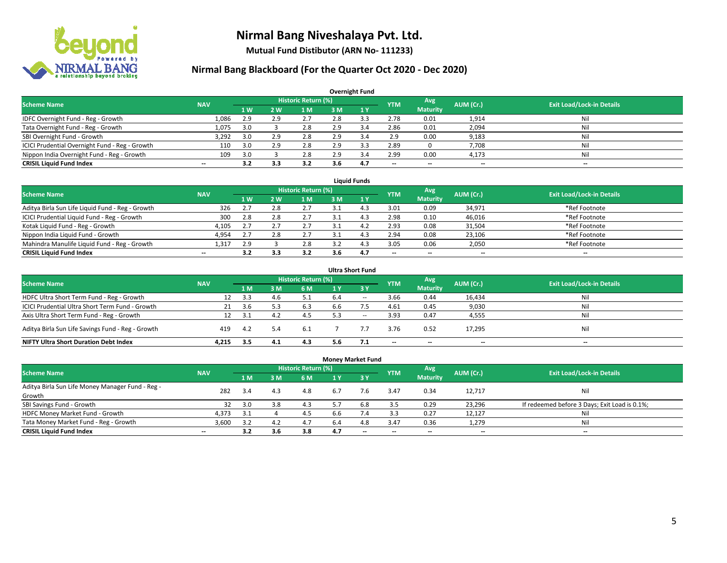

**Mutual Fund Distibutor (ARN No- 111233)**

| <b>Overnight Fund</b>                          |                          |                  |     |                     |     |              |            |                          |                          |                                  |  |  |  |  |
|------------------------------------------------|--------------------------|------------------|-----|---------------------|-----|--------------|------------|--------------------------|--------------------------|----------------------------------|--|--|--|--|
| <b>Scheme Name</b>                             | <b>NAV</b>               |                  |     | Historic Return (%) |     |              | <b>YTM</b> | Avg                      | AUM (Cr.)                | <b>Exit Load/Lock-in Details</b> |  |  |  |  |
|                                                |                          | $\overline{1}$ W | 2W  | 1 M                 | 3 M | $\sqrt{1}$ Y |            | <b>Maturity</b>          |                          |                                  |  |  |  |  |
| IDFC Overnight Fund - Reg - Growth             | 1,086                    | 2.9              | 2.9 | 2.7                 | 2.8 |              | 2.78       | 0.01                     | 1,914                    | Nil                              |  |  |  |  |
| Tata Overnight Fund - Reg - Growth             | 1,075                    | 3.0              |     | 2.8                 | 2.9 | 3.4          | 2.86       | 0.01                     | 2,094                    | Nil                              |  |  |  |  |
| SBI Overnight Fund - Growth                    | 3,292                    | 3.0              | 2.9 | 2.8                 | 2.9 | 3.4          | 2.9        | 0.00                     | 9,183                    | Nil                              |  |  |  |  |
| ICICI Prudential Overnight Fund - Reg - Growth | 110                      | 3.0              | 2.9 | 2.8                 | 2.9 |              | 2.89       |                          | 7,708                    | Nil                              |  |  |  |  |
| Nippon India Overnight Fund - Reg - Growth     | 109                      | 3.0              |     | 2.8                 | 2.9 | 3.4          | 2.99       | 0.00                     | 4,173                    | Nil                              |  |  |  |  |
| <b>CRISIL Liquid Fund Index</b>                | $\overline{\phantom{a}}$ | 3.2              | 3.3 | 3.2                 | 3.6 | 4.7          | --         | $\overline{\phantom{a}}$ | $\overline{\phantom{m}}$ | $-$                              |  |  |  |  |

| <b>Liquid Funds</b>                              |            |                |     |                            |     |     |                          |                 |           |                                  |  |  |  |
|--------------------------------------------------|------------|----------------|-----|----------------------------|-----|-----|--------------------------|-----------------|-----------|----------------------------------|--|--|--|
| <b>Scheme Name</b>                               | <b>NAV</b> |                |     | <b>Historic Return (%)</b> |     |     | <b>YTM</b>               | Avg             | AUM (Cr.) | <b>Exit Load/Lock-in Details</b> |  |  |  |
|                                                  |            | 1 <sub>W</sub> | 2W  | 1 M                        | 3 M |     |                          | <b>Maturity</b> |           |                                  |  |  |  |
| Aditya Birla Sun Life Liquid Fund - Reg - Growth | 326        |                | 2.8 | 2.7                        |     |     | 3.01                     | 0.09            | 34,971    | *Ref Footnote                    |  |  |  |
| ICICI Prudential Liquid Fund - Reg - Growth      | 300        | 2.8            | 2.8 | 2.7                        |     |     | 2.98                     | 0.10            | 46,016    | *Ref Footnote                    |  |  |  |
| Kotak Liquid Fund - Reg - Growth                 | 4,105      | 2.1            |     | 2.7                        |     |     | 2.93                     | 0.08            | 31,504    | *Ref Footnote                    |  |  |  |
| Nippon India Liquid Fund - Growth                | 4,954      | 2.7            |     | 2.7                        |     |     | 2.94                     | 0.08            | 23,106    | *Ref Footnote                    |  |  |  |
| Mahindra Manulife Liquid Fund - Reg - Growth     | 1,317      | 2.9            |     | 2.8                        |     |     | 3.05                     | 0.06            | 2,050     | *Ref Footnote                    |  |  |  |
| <b>CRISIL Liquid Fund Index</b>                  | $- -$      |                |     | 3.2                        | 3.6 | 4.7 | $\overline{\phantom{a}}$ | $- -$           | $- -$     | $-$                              |  |  |  |

| <b>Ultra Short Fund</b>                           |            |      |     |                            |     |           |                          |                          |           |                                  |  |  |  |
|---------------------------------------------------|------------|------|-----|----------------------------|-----|-----------|--------------------------|--------------------------|-----------|----------------------------------|--|--|--|
| <b>Scheme Name</b>                                | <b>NAV</b> |      |     | <b>Historic Return (%)</b> |     |           | <b>YTM</b>               | Avg                      | AUM (Cr.) | <b>Exit Load/Lock-in Details</b> |  |  |  |
|                                                   |            | 1 M  | 3 M | 6 M                        | 1 Y | <b>3Y</b> |                          | <b>Maturity</b>          |           |                                  |  |  |  |
| HDFC Ultra Short Term Fund - Reg - Growth         | 12         | 3.3  | 4.b | 5.1                        | 6.4 | $\sim$    | 3.66                     | 0.44                     | 16,434    | Nil                              |  |  |  |
| ICICI Prudential Ultra Short Term Fund - Growth   | 21         | 3.6  |     | 6.3                        | 6.6 |           | 4.61                     | 0.45                     | 9,030     | Nil                              |  |  |  |
| Axis Ultra Short Term Fund - Reg - Growth         | 12         | -3.1 | 4.2 | 4.5                        | 5.3 | $- -$     | 3.93                     | 0.47                     | 4,555     | Ni                               |  |  |  |
| Aditya Birla Sun Life Savings Fund - Reg - Growth | 419        | 4.2  | 5.4 | 6.1                        |     |           | 3.76                     | 0.52                     | 17,295    | Nil                              |  |  |  |
| <b>NIFTY Ultra Short Duration Debt Index</b>      | 4.215      | 3.5  | 4.1 | 4.3                        | 5.6 |           | $\overline{\phantom{a}}$ | $\overline{\phantom{a}}$ | $- -$     | $-$                              |  |  |  |

|                                                            |            |     |                |                            | <b>Money Market Fund</b> |                               |                          |                          |           |                                               |
|------------------------------------------------------------|------------|-----|----------------|----------------------------|--------------------------|-------------------------------|--------------------------|--------------------------|-----------|-----------------------------------------------|
| <b>Scheme Name</b>                                         | <b>NAV</b> |     |                | <b>Historic Return (%)</b> |                          |                               | <b>YTM</b>               | Avg                      | AUM (Cr.) | <b>Exit Load/Lock-in Details</b>              |
|                                                            |            | 1 M | 3 <sub>M</sub> | 6 M                        | 1 Y                      | $\overline{3}$ $\overline{Y}$ |                          | <b>Maturity</b>          |           |                                               |
| Aditya Birla Sun Life Money Manager Fund - Reg -<br>Growth | 282        | 3.4 | 4.3            | 4.8                        | 6.7                      | 7.6                           | 3.47                     | 0.34                     | 12,717    | Nil                                           |
| SBI Savings Fund - Growth                                  | 32         | 3.0 | 3.8            | 4.3                        | 5.7                      | 6.8                           | 3.5                      | 0.29                     | 23,296    | If redeemed before 3 Days; Exit Load is 0.1%; |
| HDFC Money Market Fund - Growth                            | 4,373      | 3.1 |                | 4.5                        | b.b                      | 7.4                           | 3.3                      | 0.27                     | 12,127    | Nil                                           |
| Tata Money Market Fund - Reg - Growth                      | 3,600      | 3.2 | 4.2            | 4.7                        | 6.4                      | 4.8                           | 3.47                     | 0.36                     | 1,279     | Nil                                           |
| <b>CRISIL Liquid Fund Index</b>                            | $- -$      | 3.2 | 3.6            | 3.8                        | 4.7                      | $\overline{\phantom{a}}$      | $\overline{\phantom{a}}$ | $\overline{\phantom{a}}$ | $- -$     | $-$                                           |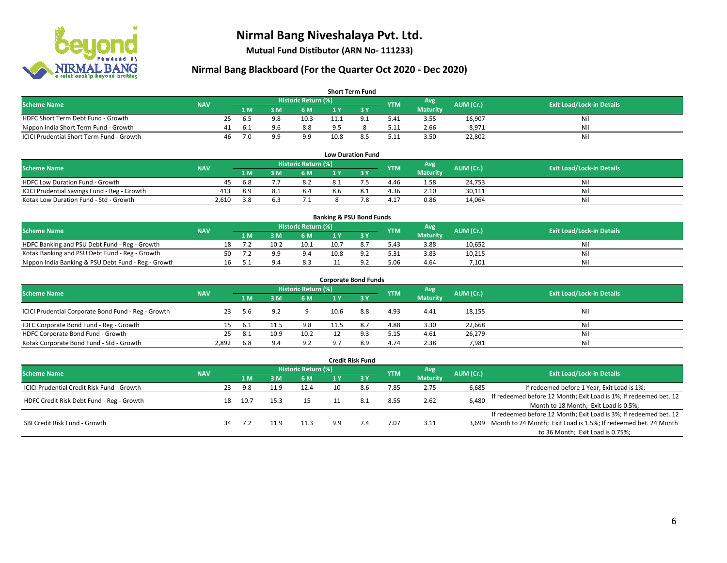

**Mutual Fund Distibutor (ARN No- 111233)**

| <b>Short Term Fund</b>                           |            |    |      |     |                     |                |                |            |                 |           |                                  |  |  |
|--------------------------------------------------|------------|----|------|-----|---------------------|----------------|----------------|------------|-----------------|-----------|----------------------------------|--|--|
| <b>Scheme Name</b>                               | <b>NAV</b> |    |      |     | Historic Return (%) |                |                | <b>YTM</b> | Avg             | AUM (Cr.) | <b>Exit Load/Lock-in Details</b> |  |  |
|                                                  |            |    | 1 M. | 3 M | 6 M                 |                |                |            | <b>Maturity</b> |           |                                  |  |  |
| HDFC Short Term Debt Fund - Growth               |            | 25 | -6.5 | 9.8 | 10.3                | 11.1           | Q <sub>1</sub> | 5.41       | 3.55            | 16,907    | Ni.                              |  |  |
| Nippon India Short Term Fund - Growth            |            |    | 6.1  | 9.6 | 8.8                 | Q <sub>5</sub> |                | 5.11       | 2.66            | 8,971     | Ni                               |  |  |
| <b>ICICI Prudential Short Term Fund - Growth</b> |            | 46 | 7.0  | a a | 9.9                 | 10.8           | 8.5            | 5.11       | 3.50            | 22,802    | Nil                              |  |  |

| <b>Low Duration Fund</b>                     |            |      |  |                     |     |  |            |                 |           |                                  |  |  |  |
|----------------------------------------------|------------|------|--|---------------------|-----|--|------------|-----------------|-----------|----------------------------------|--|--|--|
| <b>Scheme Name</b>                           | <b>NAV</b> |      |  | Historic Return (%) |     |  | <b>YTM</b> | Avg             | AUM (Cr.) | <b>Exit Load/Lock-in Details</b> |  |  |  |
|                                              |            | 1 M  |  | 6 M                 |     |  |            | <b>Maturity</b> |           |                                  |  |  |  |
| <b>HDFC Low Duration Fund - Growth</b>       | 45         | -6.8 |  | 8.2                 | 8.1 |  | 4.46       | 1.58            | 24,753    | Nil                              |  |  |  |
| ICICI Prudential Savings Fund - Reg - Growth | 413        | 8.9  |  | 8.4                 | 8.6 |  | 4.36       | 2.10            | 30,111    | Nil                              |  |  |  |
| Kotak Low Duration Fund - Std - Growth       | 2.610      | 3.8  |  |                     |     |  | 4.17       | 0.86            | 14.064    | Nil                              |  |  |  |

| <b>Banking &amp; PSU Bond Funds</b>                 |            |    |     |      |                     |      |  |            |                 |           |                                  |  |  |
|-----------------------------------------------------|------------|----|-----|------|---------------------|------|--|------------|-----------------|-----------|----------------------------------|--|--|
| <b>Scheme Name</b>                                  | <b>NAV</b> |    |     |      | Historic Return (%) |      |  | <b>YTM</b> | Avg             | AUM (Cr.) | <b>Exit Load/Lock-in Details</b> |  |  |
|                                                     |            |    | 1 M |      | 6 M                 |      |  |            | <b>Maturity</b> |           |                                  |  |  |
| HDFC Banking and PSU Debt Fund - Reg - Growth       |            |    |     | 10.2 | 10.1                | 10.7 |  | 5.43       | 3.88            | 10,652    | Nil                              |  |  |
| Kotak Banking and PSU Debt Fund - Reg - Growth      |            | 50 |     | -റ വ | 9.4                 | 10.8 |  | 5.31       | 3.83            | 10,215    | Nil                              |  |  |
| Nippon India Banking & PSU Debt Fund - Reg - Growth |            |    |     |      | 8.3                 |      |  | 5.06       | 4.64            | 7,101     | Nil                              |  |  |

| <b>Corporate Bond Funds</b>                         |            |      |      |                            |      |              |            |                 |           |                                  |  |  |  |  |
|-----------------------------------------------------|------------|------|------|----------------------------|------|--------------|------------|-----------------|-----------|----------------------------------|--|--|--|--|
| <b>Scheme Name</b>                                  | <b>NAV</b> |      |      | <b>Historic Return (%)</b> |      |              | <b>YTM</b> | Avg             | AUM (Cr.) | <b>Exit Load/Lock-in Details</b> |  |  |  |  |
|                                                     |            | 1 M  | 3 M  | 6 M                        | 1 Y  | $\sqrt{3}$ V |            | <b>Maturity</b> |           |                                  |  |  |  |  |
| ICICI Prudential Corporate Bond Fund - Reg - Growth | 23         | 5.6  | 9.2  |                            | 10.6 | 8.8          | 4.93       | 4.41            | 18,155    | Nil                              |  |  |  |  |
| IDFC Corporate Bond Fund - Reg - Growth             |            | -6.1 | 11.5 | 9.8                        | 11.5 | 8.7          | 4.88       | 3.30            | 22,668    | Nil                              |  |  |  |  |
| HDFC Corporate Bond Fund - Growth                   | 25         | -8.1 | 10.9 | 10.2                       |      |              | 5.15       | 4.61            | 26,279    | Nil                              |  |  |  |  |
| Kotak Corporate Bond Fund - Std - Growth            | 2,892      | 6.8  | 9.4  | 9.2                        |      | 8.9          | 4.74       | 2.38            | 7,981     | Nil                              |  |  |  |  |

|                                            |            |    |      |      |                     |     | <b>Credit Risk Fund</b> |      |                        |           |                                                                       |
|--------------------------------------------|------------|----|------|------|---------------------|-----|-------------------------|------|------------------------|-----------|-----------------------------------------------------------------------|
| <b>Scheme Name</b>                         | <b>NAV</b> |    |      |      | Historic Return (%) |     |                         | YTM  | Avg<br><b>Maturity</b> | AUM (Cr.) | <b>Exit Load/Lock-in Details</b>                                      |
|                                            |            |    | 1 M  | з м  | 6 M                 |     | 3Y                      |      |                        |           |                                                                       |
| ICICI Prudential Credit Risk Fund - Growth |            | 23 | 9.8  | 11.9 | 12.4                | 10  | 8.6                     | 7.85 | 2.75                   | 6,685     | If redeemed before 1 Year; Exit Load is 1%;                           |
| HDFC Credit Risk Debt Fund - Reg - Growth  |            | 18 | 10.7 | 15.3 | 15                  |     | 8.1                     | 8.55 | 2.62                   | 6,480     | If redeemed before 12 Month; Exit Load is 1%; If redeemed bet. 12     |
|                                            |            |    |      |      |                     |     |                         |      |                        |           | Month to 18 Month; Exit Load is 0.5%;                                 |
| SBI Credit Risk Fund - Growth              |            |    |      |      |                     |     |                         |      |                        |           | If redeemed before 12 Month; Exit Load is 3%; If redeemed bet. 12     |
|                                            |            | 34 |      | 11.9 | 11.3                | 9.9 |                         | 7.07 | 3.11                   |           | 3,699 Month to 24 Month; Exit Load is 1.5%; If redeemed bet. 24 Month |
|                                            |            |    |      |      |                     |     |                         |      |                        |           | to 36 Month; Exit Load is 0.75%;                                      |